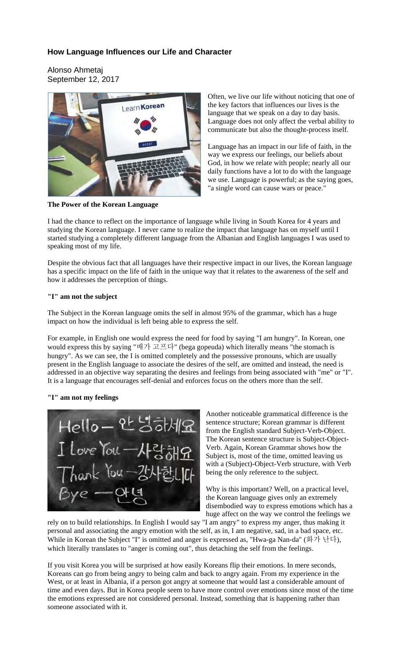# **How Language Influences our Life and Character**

Alonso Ahmetaj September 12, 2017



**The Power of the Korean Language** 

Often, we live our life without noticing that one of the key factors that influences our lives is the language that we speak on a day to day basis. Language does not only affect the verbal ability to communicate but also the thought-process itself.

Language has an impact in our life of faith, in the way we express our feelings, our beliefs about God, in how we relate with people; nearly all our daily functions have a lot to do with the language we use. Language is powerful; as the saying goes, "a single word can cause wars or peace."

I had the chance to reflect on the importance of language while living in South Korea for 4 years and studying the Korean language. I never came to realize the impact that language has on myself until I started studying a completely different language from the Albanian and English languages I was used to speaking most of my life.

Despite the obvious fact that all languages have their respective impact in our lives, the Korean language has a specific impact on the life of faith in the unique way that it relates to the awareness of the self and how it addresses the perception of things.

## **"I" am not the subject**

The Subject in the Korean language omits the self in almost 95% of the grammar, which has a huge impact on how the individual is left being able to express the self.

For example, in English one would express the need for food by saying "I am hungry". In Korean, one would express this by saying "배가 고프다" (bega gopeuda) which literally means "the stomach is hungry". As we can see, the I is omitted completely and the possessive pronouns, which are usually present in the English language to associate the desires of the self, are omitted and instead, the need is addressed in an objective way separating the desires and feelings from being associated with "me" or "I". It is a language that encourages self-denial and enforces focus on the others more than the self.

## **"I" am not my feelings**



Another noticeable grammatical difference is the sentence structure; Korean grammar is different from the English standard Subject-Verb-Object. The Korean sentence structure is Subject-Object-Verb. Again, Korean Grammar shows how the Subject is, most of the time, omitted leaving us with a (Subject)-Object-Verb structure, with Verb being the only reference to the subject.

Why is this important? Well, on a practical level, the Korean language gives only an extremely disembodied way to express emotions which has a huge affect on the way we control the feelings we

rely on to build relationships. In English I would say "I am angry" to express my anger, thus making it personal and associating the angry emotion with the self, as in, I am negative, sad, in a bad space, etc. While in Korean the Subject "I" is omitted and anger is expressed as, "Hwa-ga Nan-da" (화가 난다), which literally translates to "anger is coming out", thus detaching the self from the feelings.

If you visit Korea you will be surprised at how easily Koreans flip their emotions. In mere seconds, Koreans can go from being angry to being calm and back to angry again. From my experience in the West, or at least in Albania, if a person got angry at someone that would last a considerable amount of time and even days. But in Korea people seem to have more control over emotions since most of the time the emotions expressed are not considered personal. Instead, something that is happening rather than someone associated with it.